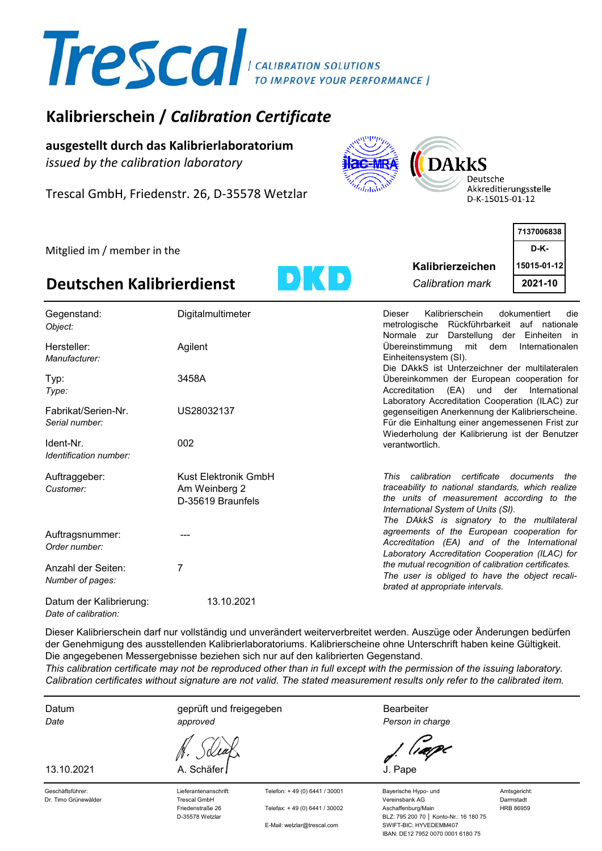

# **Kalibrierschein /** *Calibration Certificate*

**ausgestellt durch das Kalibrierlaboratorium** *issued by the calibration laboratory*

Trescal GmbH, Friedenstr. 26, D-35578 Wetzlar



Deutsche Akkreditierungsstelle D-K-15015-01-12

|                             |       |                  | 7137006838  |  |
|-----------------------------|-------|------------------|-------------|--|
| Mitglied im / member in the |       |                  | <b>D-K-</b> |  |
|                             |       | Kalibrierzeichen | 15015-01-12 |  |
| Deutschen Kalibrierdienst   | D) (O | Calibration mark | 2021-10     |  |
|                             |       |                  |             |  |

| Gegenstand:<br>Object:                          | Digitalmultimeter                                          | Kalibrierschein<br>dokumentiert<br>Dieser<br>die<br>metrologische Rückführbarkeit auf nationale<br>Normale zur Darstellung der Einheiten in                                                                                                   |
|-------------------------------------------------|------------------------------------------------------------|-----------------------------------------------------------------------------------------------------------------------------------------------------------------------------------------------------------------------------------------------|
| Hersteller:<br>Manufacturer:                    | Agilent                                                    | Übereinstimmung<br>mit dem<br>Internationalen<br>Einheitensystem (SI).                                                                                                                                                                        |
| Typ:<br>Type:                                   | 3458A                                                      | Die DAkkS ist Unterzeichner der multilateralen<br>Übereinkommen der European cooperation for<br>Accreditation<br>(EA) und der International<br>Laboratory Accreditation Cooperation (ILAC) zur                                                |
| Fabrikat/Serien-Nr.<br>Serial number:           | US28032137                                                 | gegenseitigen Anerkennung der Kalibrierscheine.<br>Für die Einhaltung einer angemessenen Frist zur<br>Wiederholung der Kalibrierung ist der Benutzer                                                                                          |
| Ident-Nr.<br>Identification number:             | 002                                                        | verantwortlich.                                                                                                                                                                                                                               |
| Auftraggeber:<br>Customer:                      | Kust Elektronik GmbH<br>Am Weinberg 2<br>D-35619 Braunfels | certificate<br>calibration<br>This<br>documents<br>the<br>traceability to national standards, which realize<br>the units of measurement according to the<br>International System of Units (SI).<br>The DAkkS is signatory to the multilateral |
| Auftragsnummer:<br>Order number:                |                                                            | agreements of the European cooperation for<br>Accreditation (EA) and of the International<br>Laboratory Accreditation Cooperation (ILAC) for                                                                                                  |
| Anzahl der Seiten:<br>Number of pages:          | 7                                                          | the mutual recognition of calibration certificates.<br>The user is obliged to have the object recali-<br>brated at appropriate intervals.                                                                                                     |
| Datum der Kalibrierung:<br>Date of calibration: | 13.10.2021                                                 |                                                                                                                                                                                                                                               |

der Genehmigung des ausstellenden Kalibrierlaboratoriums. Kalibrierscheine ohne Unterschrift haben keine Gültigkeit. Die angegebenen Messergebnisse beziehen sich nur auf den kalibrierten Gegenstand. Dieser Kalibrierschein darf nur vollständig und unverändert weiterverbreitet werden. Auszüge oder Änderungen bedürfen

*This calibration certificate may not be reproduced other than in full except with the permission of the issuing laboratory. Calibration certificates without signature are not valid. The stated measurement results only refer to the calibrated item.*

*Date* Datum

13.10.2021

geprüft und freigegeben

A. Schäfer *J. Pape* 

**Bearbeiter** *Person in charge*

Dr. Timo Grünewälder Trescal GmbH Vereinsbank AG Darmstadt Friedenstraße 26 Telefax: + 49 (0) 6441 / 30002 Aschaffenburg/Main HRB 86959 D-35578 Wetzlar BLZ: 795 200 70 │ Konto-Nr.: 16 180 75 E-Mail: wetzlar@trescal.com SWIFT-BIC: HYVEDEMM407 IBAN: DE12 7952 0070 0001 6180 75

Geschäftsführer: 
Lieferantenanschrift: 
Telefon: + 49 (0) 6441 / 30001 Bayerische Hypo- und Amtsgericht:

*approved*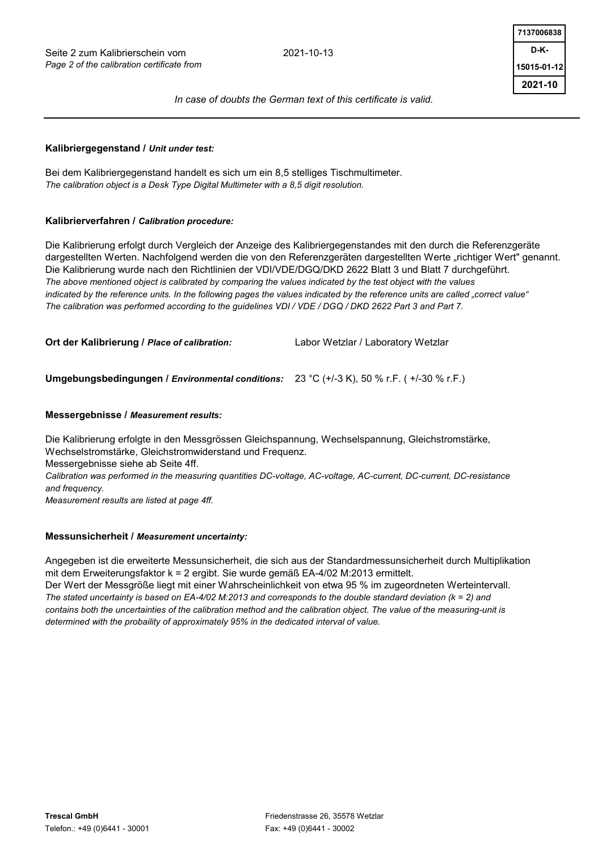

#### **Kalibriergegenstand /** *Unit under test:*

Bei dem Kalibriergegenstand handelt es sich um ein 8,5 stelliges Tischmultimeter. *The calibration object is a Desk Type Digital Multimeter with a 8,5 digit resolution.*

#### **Kalibrierverfahren /** *Calibration procedure:*

Die Kalibrierung erfolgt durch Vergleich der Anzeige des Kalibriergegenstandes mit den durch die Referenzgeräte dargestellten Werten. Nachfolgend werden die von den Referenzgeräten dargestellten Werte "richtiger Wert" genannt. Die Kalibrierung wurde nach den Richtlinien der VDI/VDE/DGQ/DKD 2622 Blatt 3 und Blatt 7 durchgeführt. *The above mentioned object is calibrated by comparing the values indicated by the test object with the values indicated by the reference units. In the following pages the values indicated by the reference units are called "correct value" The calibration was performed according to the guidelines VDI / VDE / DGQ / DKD 2622 Part 3 and Part 7.*

**Ort der Kalibrierung /** *Place of calibration:* Labor Wetzlar / Laboratory Wetzlar

**Umgebungsbedingungen /** *Environmental conditions:* 23 °C (+/-3 K), 50 % r.F. ( +/-30 % r.F.)

#### **Messergebnisse /** *Measurement results:*

Die Kalibrierung erfolgte in den Messgrössen Gleichspannung, Wechselspannung, Gleichstromstärke, Wechselstromstärke, Gleichstromwiderstand und Frequenz.

Messergebnisse siehe ab Seite 4ff.

*Calibration was performed in the measuring quantities DC-voltage, AC-voltage, AC-current, DC-current, DC-resistance and frequency.*

*Measurement results are listed at page 4ff.*

#### **Messunsicherheit /** *Measurement uncertainty:*

Angegeben ist die erweiterte Messunsicherheit, die sich aus der Standardmessunsicherheit durch Multiplikation mit dem Erweiterungsfaktor k = 2 ergibt. Sie wurde gemäß EA-4/02 M:2013 ermittelt. Der Wert der Messgröße liegt mit einer Wahrscheinlichkeit von etwa 95 % im zugeordneten Werteintervall. *The stated uncertainty is based on EA-4/02 M:2013 and corresponds to the double standard deviation (k = 2) and contains both the uncertainties of the calibration method and the calibration object. The value of the measuring-unit is determined with the probaility of approximately 95% in the dedicated interval of value.*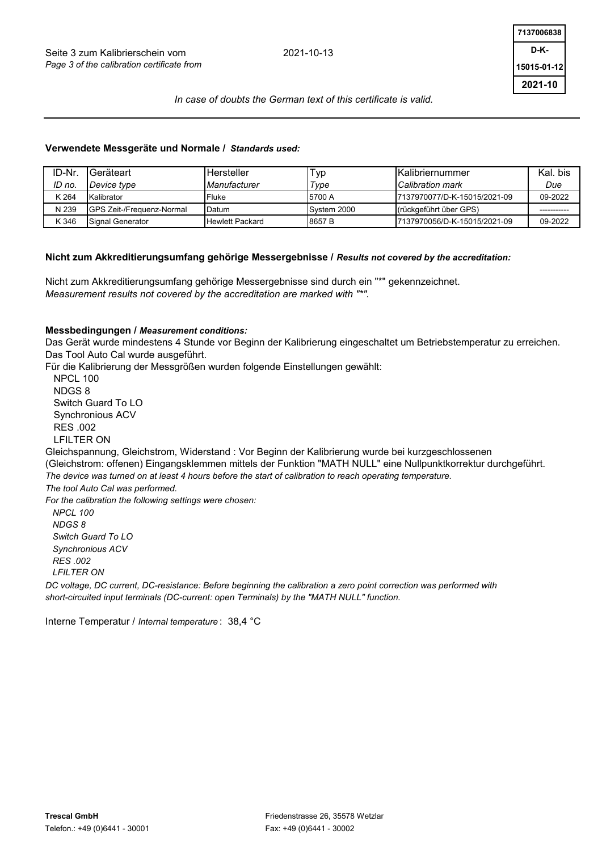

#### **Verwendete Messgeräte und Normale /** *Standards used:*

| ID-Nr  | Geräteart                         | Hersteller             | Typ         | <b>IKalibriernummer</b>      | Kal, bis |
|--------|-----------------------------------|------------------------|-------------|------------------------------|----------|
| ID no. | Device type                       | Manufacturer           | Type        | Calibration mark             | Due      |
| K 264  | Kalibrator                        | Fluke                  | 5700 A      | 7137970077/D-K-15015/2021-09 | 09-2022  |
| N 239  | <b>IGPS Zeit-/Frequenz-Normal</b> | Datum                  | System 2000 | (rückgeführt über GPS)       |          |
| K 346  | Signal Generator                  | <b>Hewlett Packard</b> | 8657B       | 7137970056/D-K-15015/2021-09 | 09-2022  |

#### **Nicht zum Akkreditierungsumfang gehörige Messergebnisse /** *Results not covered by the accreditation:*

Nicht zum Akkreditierungsumfang gehörige Messergebnisse sind durch ein "\*" gekennzeichnet. *Measurement results not covered by the accreditation are marked with "\*".*

#### **Messbedingungen /** *Measurement conditions:*

Das Gerät wurde mindestens 4 Stunde vor Beginn der Kalibrierung eingeschaltet um Betriebstemperatur zu erreichen. Das Tool Auto Cal wurde ausgeführt.

Für die Kalibrierung der Messgrößen wurden folgende Einstellungen gewählt:

 *NPCL 100 NDGS 8 Switch Guard To LO Synchronious ACV RES .002 LFILTER ON DC voltage, DC current, DC-resistance: Before beginning the calibration a zero point correction was performed with For the calibration the following settings were chosen:* (Gleichstrom: offenen) Eingangsklemmen mittels der Funktion "MATH NULL" eine Nullpunktkorrektur durchgeführt. *The device was turned on at least 4 hours before the start of calibration to reach operating temperature. The tool Auto Cal was performed.* NPCL 100 NDGS 8 Switch Guard To LO Synchronious ACV RES .002 LFILTER ON Gleichspannung, Gleichstrom, Widerstand : Vor Beginn der Kalibrierung wurde bei kurzgeschlossenen

*short-circuited input terminals (DC-current: open Terminals) by the "MATH NULL" function.*

Interne Temperatur / *Internal temperature* : 38,4 °C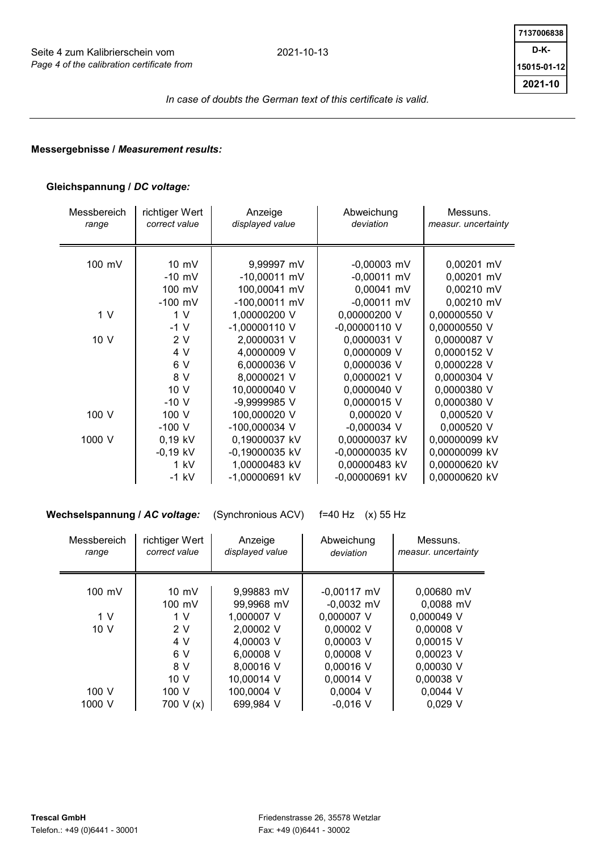

## **Messergebnisse /** *Measurement results:*

## **Gleichspannung /** *DC voltage:*

| Messbereich<br>range | richtiger Wert<br>correct value | Anzeige<br>displayed value | Abweichung<br>deviation | Messuns.<br>measur. uncertainty |
|----------------------|---------------------------------|----------------------------|-------------------------|---------------------------------|
|                      |                                 |                            |                         |                                 |
| 100 mV               | $10 \, \text{mV}$               | 9,99997 mV                 | $-0,00003$ mV           | 0,00201 mV                      |
|                      | $-10$ mV                        | $-10,00011$ mV             | $-0,00011$ mV           | 0,00201 mV                      |
|                      | 100 mV                          | 100,00041 mV               | 0,00041 mV              | 0,00210 mV                      |
|                      | $-100$ mV                       | -100,00011 mV              | $-0,00011$ mV           | 0,00210 mV                      |
| 1 <sub>V</sub>       | 1 <sub>V</sub>                  | 1,00000200 V               | 0,00000200 V            | 0,00000550 V                    |
|                      | $-1$ V                          | $-1,00000110$ V            | $-0,00000110$ V         | 0,00000550 V                    |
| 10 V                 | 2V                              | 2,0000031 V                | 0,0000031 V             | 0,0000087 V                     |
|                      | 4 V                             | 4,0000009 V                | 0,0000009 V             | 0,0000152 V                     |
|                      | 6 V                             | 6,0000036 V                | 0,0000036 V             | 0,0000228 V                     |
|                      | 8 V                             | 8,0000021 V                | 0,0000021 V             | 0,0000304 V                     |
|                      | 10 V                            | 10,0000040 V               | 0,0000040 V             | 0,0000380 V                     |
|                      | $-10V$                          | -9.9999985 V               | 0,0000015 V             | 0,0000380 V                     |
| 100 V                | 100 V                           | 100,000020 V               | 0,000020 V              | 0,000520 V                      |
|                      | $-100V$                         | -100,000034 V              | $-0,000034$ V           | 0,000520 V                      |
| 1000 V               | $0,19$ kV                       | 0,19000037 kV              | 0,00000037 kV           | 0,00000099 kV                   |
|                      | $-0,19$ kV                      | -0,19000035 kV             | -0,00000035 kV          | 0,00000099 kV                   |
|                      | 1 kV                            | 1,00000483 kV              | 0,00000483 kV           | 0,00000620 kV                   |
|                      | $-1$ kV                         | -1,00000691 kV             | -0,00000691 kV          | 0,00000620 kV                   |

**Wechselspannung /** *AC voltage:* (Synchronious ACV) f=40 Hz (x) 55 Hz 100 mV | 10 mV | 9,99883 mV | -0,00117 mV | 0,00680 mV  $-0.0032$  mV  $-0.0088$  mV 0,000007 V 0,000049 V  $0,00002 \text{ V}$  0,00008 V  $0,00003$  V  $\vert$  0,00015 V V V V 0,00016 V | 0,00030 V 0,00014 V 0,00038 V  $0.0004$  V  $\parallel$  0.0044 V  $-0.016$  V  $\parallel$  0.029 V 1000 V 700 V (x) 699,984 V 10 V 10,00014 V 100 V  $\vert$  100 V  $\vert$  100,0004 V  $6 V$  6,00008 V 8 V 8,00016 V 10 V | 2 V | 2,00002 V 4 V 4,00003 V  $100 \, \text{mV}$  99.9968 mV 1 V 1 V 1,000007 V Messbereich *range* richtiger Wert *correct value* Anzeige *displayed value* Abweichung *deviation* Messuns. *measur. uncertainty*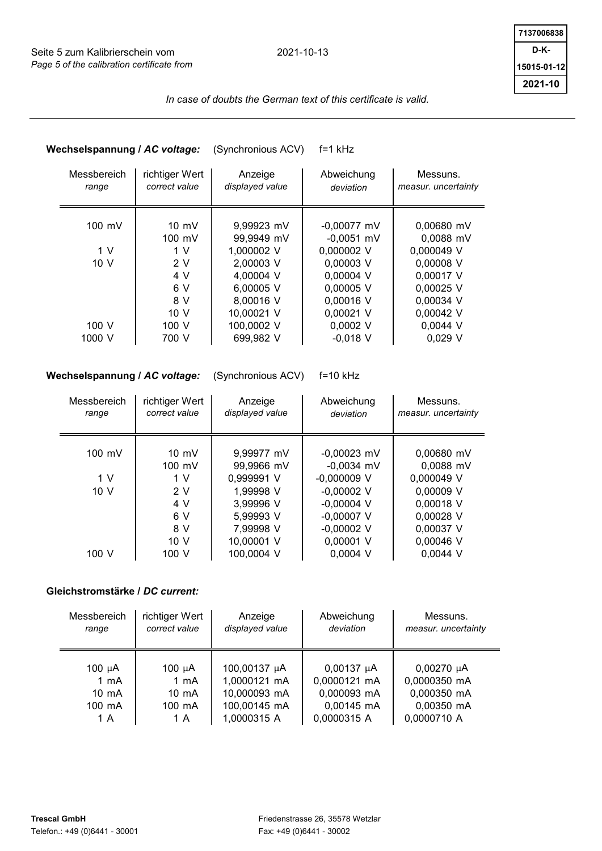

# **Wechselspannung /** *AC voltage:* (Synchronious ACV) f=1 kHz

| Messbereich<br>range | richtiger Wert<br>correct value | Anzeige<br>displayed value | Abweichung<br>deviation | Messuns.<br>measur. uncertainty |
|----------------------|---------------------------------|----------------------------|-------------------------|---------------------------------|
| 100 mV               | $10 \text{ mV}$                 | 9,99923 mV                 | $-0.00077$ mV           | $0.00680$ mV                    |
|                      | $100 \text{ mV}$                | 99,9949 mV                 | $-0.0051$ mV            | 0,0088 mV                       |
|                      |                                 |                            |                         |                                 |
| 1 <sub>V</sub>       | 1 V                             | 1,000002 V                 | 0,000002 V              | 0,000049 V                      |
| 10 <sub>V</sub>      | 2V                              | 2,00003 V                  | 0,00003 V               | 0,00008 V                       |
|                      | 4 V                             | 4,00004 V                  | 0,00004 V               | 0,00017 V                       |
|                      | 6 V                             | 6,00005 V                  | 0,00005 V               | 0,00025 V                       |
|                      | 8 V                             | 8,00016 V                  | 0,00016 V               | 0,00034 V                       |
|                      | 10V                             | 10,00021 V                 | 0,00021 V               | 0,00042 V                       |
| 100 V                | 100 V                           | 100,0002 V                 | $0,0002$ V              | $0,0044$ V                      |
| 1000 V               | 700 V                           | 699,982 V                  | $-0.018$ V              | $0.029$ V                       |

## **Wechselspannung /** *AC voltage:* (Synchronious ACV) f=10 kHz

| Messbereich<br>range | richtiger Wert<br>correct value | Anzeige<br>displayed value | Abweichung<br>deviation | Messuns.<br>measur. uncertainty |
|----------------------|---------------------------------|----------------------------|-------------------------|---------------------------------|
| $100 \text{ mV}$     | $10 \text{ mV}$                 | 9,99977 mV                 | $-0,00023$ mV           | $0.00680$ mV                    |
|                      | 100 mV                          | 99,9966 mV                 | $-0,0034$ mV            | 0,0088 mV                       |
| 1 V                  | 1 V                             | 0,999991 V                 | $-0.000009$ V           | 0,000049 V                      |
| 10 V                 | 2V                              | 1,99998 V                  | $-0,00002$ V            | 0,00009 V                       |
|                      | 4 V                             | 3,99996 V                  | $-0,00004$ V            | 0,00018 V                       |
|                      | 6 V                             | 5,99993 V                  | $-0,00007$ V            | 0,00028 V                       |
|                      | 8 V                             | 7,99998 V                  | $-0,00002$ V            | 0,00037 V                       |
|                      | 10 <sub>V</sub>                 | 10,00001 V                 | 0,00001 V               | 0,00046 V                       |
| 100 V                | 100 V                           | 100,0004 V                 | 0,0004 V                | $0,0044$ V                      |

## **Gleichstromstärke /** *DC current:*

| Messbereich     | richtiger Wert  | Anzeige         | Abweichung      | Messuns.            |
|-----------------|-----------------|-----------------|-----------------|---------------------|
| range           | correct value   | displayed value | deviation       | measur. uncertainty |
| $100 \mu A$     | 100 $\mu$ A     | 100,00137 µA    | $0,00137 \mu A$ | $0,00270 \mu A$     |
| $1 \text{ mA}$  | $1 \text{ mA}$  | 1,0000121 mA    | 0,0000121 mA    | 0,0000350 mA        |
| $10 \text{ mA}$ | $10 \text{ mA}$ | 10,000093 mA    | 0,000093 mA     | 0,000350 mA         |
| 100 mA          | 100 mA          | 100,00145 mA    | 0,00145 mA      | 0,00350 mA          |
| 1 A             | 1 A             | 1,0000315 A     | 0,0000315 A     | 0,0000710 A         |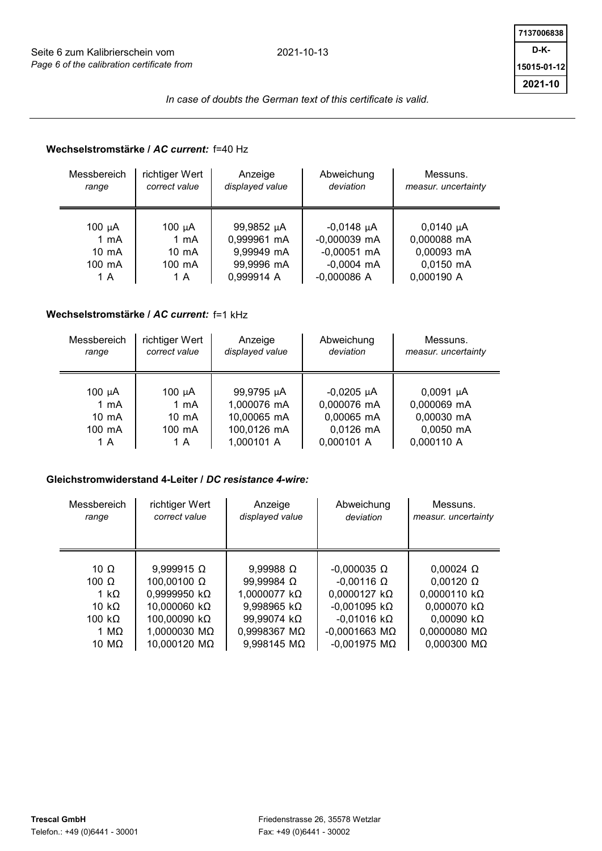

# **Wechselstromstärke /** *AC current:* f=40 Hz

| Messbereich     | richtiger Wert  | Anzeige         | Abweichung     | Messuns.            |
|-----------------|-----------------|-----------------|----------------|---------------------|
| range           | correct value   | displayed value | deviation      | measur. uncertainty |
| 100 µA          | 100 $\mu$ A     | 99,9852 µA      | $-0,0148$ µA   | $0,0140 \mu A$      |
| 1 mA            | $1 \text{ mA}$  | 0,999961 mA     | $-0,000039$ mA | 0,000088 mA         |
| $10 \text{ mA}$ | $10 \text{ mA}$ | 9,99949 mA      | $-0,00051$ mA  | 0,00093 mA          |
| 100 mA          | 100 mA          | 99,9996 mA      | $-0,0004$ mA   | 0,0150 mA           |
| 1 A             | 1 A             | 0,999914 A      | $-0,000086$ A  | 0,000190 A          |

# **Wechselstromstärke /** *AC current:* f=1 kHz

| Messbereich      | richtiger Wert  | Anzeige         | Abweichung   | Messuns.            |
|------------------|-----------------|-----------------|--------------|---------------------|
| range            | correct value   | displayed value | deviation    | measur. uncertainty |
| 100 $\mu$ A      | 100 $\mu$ A     | 99,9795 µA      | $-0,0205$ µA | $0,0091 \mu A$      |
| $1 \text{ mA}$   | $1 \text{ mA}$  | 1,000076 mA     | 0,000076 mA  | 0,000069 mA         |
| $10 \text{ mA}$  | $10 \text{ mA}$ | 10,00065 mA     | 0,00065 mA   | 0,00030 mA          |
| $100 \text{ mA}$ | 100 mA          | 100,0126 mA     | 0,0126 mA    | 0,0050 mA           |
| 1 A              | 1 A             | 1,000101 A      | 0,000101 A   | 0,000110 A          |

## **Gleichstromwiderstand 4-Leiter /** *DC resistance 4-wire:*

| Messbereich<br>range | richtiger Wert<br>correct value | Anzeige<br>displayed value | Abweichung<br>deviation | Messuns.<br>measur. uncertainty |
|----------------------|---------------------------------|----------------------------|-------------------------|---------------------------------|
|                      |                                 |                            |                         |                                 |
| 10 $\Omega$          | $9,999915 \Omega$               | $9,99988 \Omega$           | $-0,000035 \Omega$      | $0,00024 \Omega$                |
| 100 $\Omega$         | 100,00100 Ω                     | 99,99984 Ω                 | $-0.00116 \Omega$       | $0.00120 \Omega$                |
| 1 kO                 | 0,9999950 kΩ                    | 1,0000077 kΩ               | $0,0000127 k\Omega$     | $0,0000110 k\Omega$             |
| 10 k $\Omega$        | 10,000060 kΩ                    | 9,998965 kΩ                | $-0.001095$ k $\Omega$  | $0,000070 k\Omega$              |
| 100 k $\Omega$       | 100,00090 kΩ                    | 99,99074 kΩ                | $-0.01016$ k $\Omega$   | $0.00090$ k $\Omega$            |
| 1 MO                 | 1,0000030 MΩ                    | 0,9998367 MΩ               | $-0.0001663$ M $\Omega$ | 0,0000080 MΩ                    |
| 10 M $\Omega$        | 10,000120 MΩ                    | 9,998145 MΩ                | $-0.001975$ M $\Omega$  | 0,000300 MΩ                     |